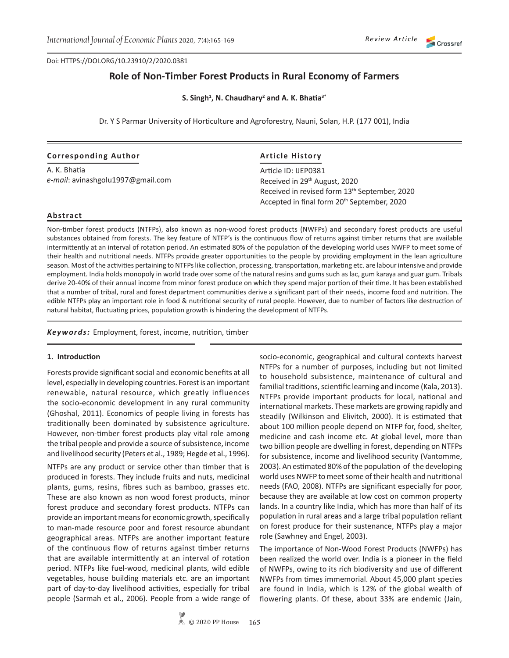Doi: HTTPS://DOI.ORG/10.23910/2/2020.0381

# **Role of Non-Timber Forest Products in Rural Economy of Farmers**

**S. Singh1 , N. Chaudhary2 and A. K. Bhatia3\***

Dr. Y S Parmar University of Horticulture and Agroforestry, Nauni, Solan, H.P. (177 001), India

### **Corresponding Author**

A. K. Bhatia *e-mail*: avinashgolu1997@gmail.com

## **Article History**

Article ID: IJEP0381 Received in 29th August, 2020 Received in revised form 13<sup>th</sup> September, 2020 Accepted in final form 20<sup>th</sup> September, 2020

## **Abstract**

Non-timber forest products (NTFPs), also known as non-wood forest products (NWFPs) and secondary forest products are useful substances obtained from forests. The key feature of NTFP's is the continuous flow of returns against timber returns that are available intermittently at an interval of rotation period. An estimated 80% of the population of the developing world uses NWFP to meet some of their health and nutritional needs. NTFPs provide greater opportunities to the people by providing employment in the lean agriculture season. Most of the activities pertaining to NTFPs like collection, processing, transportation, marketing etc. are labour intensive and provide employment. India holds monopoly in world trade over some of the natural resins and gums such as lac, gum karaya and guar gum. Tribals derive 20-40% of their annual income from minor forest produce on which they spend major portion of their time. It has been established that a number of tribal, rural and forest department communities derive a significant part of their needs, income food and nutrition. The edible NTFPs play an important role in food & nutritional security of rural people. However, due to number of factors like destruction of natural habitat, fluctuating prices, population growth is hindering the development of NTFPs.

*Keywords:* Employment, forest, income, nutrition, timber

### **1. Introduction**

Forests provide significant social and economic benefits at all level, especially in developing countries. Forest is an important renewable, natural resource, which greatly influences the socio-economic development in any rural community (Ghoshal, 2011). Economics of people living in forests has traditionally been dominated by subsistence agriculture. However, non-timber forest products play vital role among the tribal people and provide a source of subsistence, income and livelihood security (Peters et al., 1989; Hegde et al., 1996).

NTFPs are any product or service other than timber that is produced in forests. They include fruits and nuts, medicinal plants, gums, resins, fibres such as bamboo, grasses etc. These are also known as non wood forest products, minor forest produce and secondary forest products. NTFPs can provide an important means for economic growth, specifically to man-made resource poor and forest resource abundant geographical areas. NTFPs are another important feature of the continuous flow of returns against timber returns that are available intermittently at an interval of rotation period. NTFPs like fuel-wood, medicinal plants, wild edible vegetables, house building materials etc. are an important part of day-to-day livelihood activities, especially for tribal people (Sarmah et al., 2006). People from a wide range of socio-economic, geographical and cultural contexts harvest NTFPs for a number of purposes, including but not limited to household subsistence, maintenance of cultural and familial traditions, scientific learning and income (Kala, 2013). NTFPs provide important products for local, national and international markets. These markets are growing rapidly and steadily (Wilkinson and Elivitch, 2000). It is estimated that about 100 million people depend on NTFP for, food, shelter, medicine and cash income etc. At global level, more than two billion people are dwelling in forest, depending on NTFPs for subsistence, income and livelihood security (Vantomme, 2003). An estimated 80% of the population of the developing world uses NWFP to meet some of their health and nutritional needs (FAO, 2008). NTFPs are significant especially for poor, because they are available at low cost on common property lands. In a country like India, which has more than half of its population in rural areas and a large tribal population reliant on forest produce for their sustenance, NTFPs play a major role (Sawhney and Engel, 2003).

The importance of Non-Wood Forest Products (NWFPs) has been realized the world over. India is a pioneer in the field of NWFPs, owing to its rich biodiversity and use of different NWFPs from times immemorial. About 45,000 plant species are found in India, which is 12% of the global wealth of flowering plants. Of these, about 33% are endemic (Jain,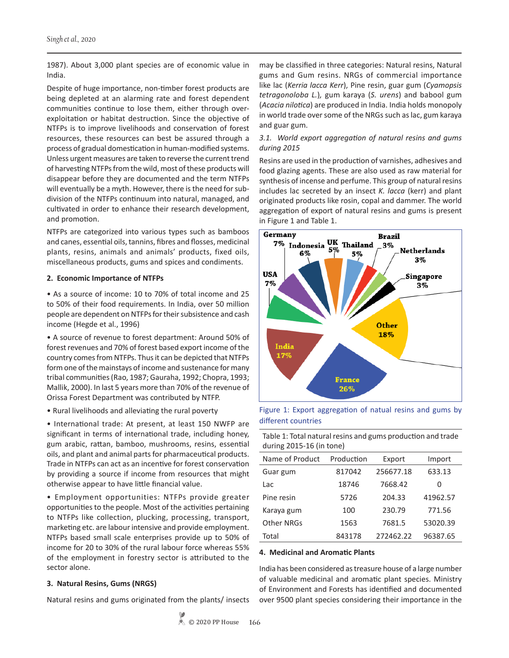1987). About 3,000 plant species are of economic value in India.

Despite of huge importance, non-timber forest products are being depleted at an alarming rate and forest dependent communities continue to lose them, either through overexploitation or habitat destruction. Since the objective of NTFPs is to improve livelihoods and conservation of forest resources, these resources can best be assured through a process of gradual domestication in human-modified systems. Unless urgent measures are taken to reverse the current trend of harvesting NTFPs from the wild, most of these products will disappear before they are documented and the term NTFPs will eventually be a myth. However, there is the need for subdivision of the NTFPs continuum into natural, managed, and cultivated in order to enhance their research development, and promotion.

NTFPs are categorized into various types such as bamboos and canes, essential oils, tannins, fibres and flosses, medicinal plants, resins, animals and animals' products, fixed oils, miscellaneous products, gums and spices and condiments.

#### **2. Economic Importance of NTFPs**

• As a source of income: 10 to 70% of total income and 25 to 50% of their food requirements. In India, over 50 million people are dependent on NTFPs for their subsistence and cash income (Hegde et al., 1996)

• A source of revenue to forest department: Around 50% of forest revenues and 70% of forest based export income of the country comes from NTFPs. Thus it can be depicted that NTFPs form one of the mainstays of income and sustenance for many tribal communities (Rao, 1987; Gauraha, 1992; Chopra, 1993; Mallik, 2000). In last 5 years more than 70% of the revenue of Orissa Forest Department was contributed by NTFP.

• Rural livelihoods and alleviating the rural poverty

• International trade: At present, at least 150 NWFP are significant in terms of international trade, including honey, gum arabic, rattan, bamboo, mushrooms, resins, essential oils, and plant and animal parts for pharmaceutical products. Trade in NTFPs can act as an incentive for forest conservation by providing a source if income from resources that might otherwise appear to have little financial value.

• Employment opportunities: NTFPs provide greater opportunities to the people. Most of the activities pertaining to NTFPs like collection, plucking, processing, transport, marketing etc. are labour intensive and provide employment. NTFPs based small scale enterprises provide up to 50% of income for 20 to 30% of the rural labour force whereas 55% of the employment in forestry sector is attributed to the sector alone.

### **3. Natural Resins, Gums (NRGS)**

Natural resins and gums originated from the plants/ insects

may be classified in three categories: Natural resins, Natural gums and Gum resins. NRGs of commercial importance like lac (*Kerria lacca Kerr*), Pine resin, guar gum (*Cyamopsis tetragonoloba L.*)*,* gum karaya (*S. urens*) and babool gum (*Acacia nilotica*) are produced in India. India holds monopoly in world trade over some of the NRGs such as lac, gum karaya and guar gum.

## *3.1. World export aggregation of natural resins and gums during 2015*

Resins are used in the production of varnishes, adhesives and food glazing agents. These are also used as raw material for synthesis of incense and perfume. This group of natural resins includes lac secreted by an insect *K. lacca* (kerr) and plant originated products like rosin, copal and dammer. The world aggregation of export of natural resins and gums is present in Figure 1 and Table 1.



Figure 1: Export aggregation of natual resins and gums by different countries

Table 1: Total natural resins and gums production and trade during 2015-16 (in tone)

| Name of Product | Production | Export    | Import   |  |
|-----------------|------------|-----------|----------|--|
| Guar gum        | 817042     | 256677.18 | 633.13   |  |
| Lac             | 18746      | 7668.42   | 0        |  |
| Pine resin      | 5726       | 204.33    | 41962.57 |  |
| Karaya gum      | 100        | 230.79    | 771.56   |  |
| Other NRGs      | 1563       | 7681.5    | 53020.39 |  |
| Total           | 843178     | 272462.22 | 96387.65 |  |

### **4. Medicinal and Aromatic Plants**

India has been considered as treasure house of a large number of valuable medicinal and aromatic plant species. Ministry of Environment and Forests has identified and documented over 9500 plant species considering their importance in the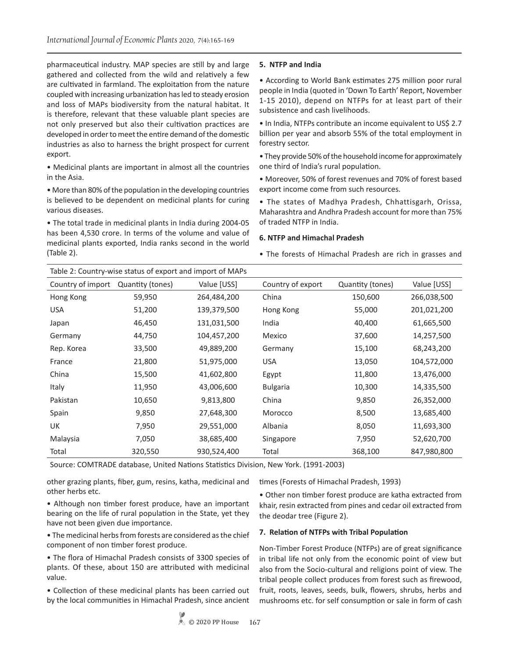pharmaceutical industry. MAP species are still by and large gathered and collected from the wild and relatively a few are cultivated in farmland. The exploitation from the nature coupled with increasing urbanization has led to steady erosion and loss of MAPs biodiversity from the natural habitat. It is therefore, relevant that these valuable plant species are not only preserved but also their cultivation practices are developed in order to meet the entire demand of the domestic industries as also to harness the bright prospect for current export.

• Medicinal plants are important in almost all the countries in the Asia.

• More than 80% of the population in the developing countries is believed to be dependent on medicinal plants for curing various diseases.

• The total trade in medicinal plants in India during 2004-05 has been 4,530 crore. In terms of the volume and value of medicinal plants exported, India ranks second in the world (Table 2).

## **5. NTFP and India**

• According to World Bank estimates 275 million poor rural people in India (quoted in 'Down To Earth' Report, November 1-15 2010), depend on NTFPs for at least part of their subsistence and cash livelihoods.

• In India, NTFPs contribute an income equivalent to US\$ 2.7 billion per year and absorb 55% of the total employment in forestry sector.

• They provide 50% of the household income for approximately one third of India's rural population.

• Moreover, 50% of forest revenues and 70% of forest based export income come from such resources.

• The states of Madhya Pradesh, Chhattisgarh, Orissa, Maharashtra and Andhra Pradesh account for more than 75% of traded NTFP in India.

### **6. NTFP and Himachal Pradesh**

• The forests of Himachal Pradesh are rich in grasses and

| Table 2: Country-wise status of export and import of MAPs |                  |             |                   |                  |             |  |  |  |
|-----------------------------------------------------------|------------------|-------------|-------------------|------------------|-------------|--|--|--|
| Country of import                                         | Quantity (tones) | Value [USS] | Country of export | Quantity (tones) | Value [USS] |  |  |  |
| Hong Kong                                                 | 59,950           | 264,484,200 | China             | 150,600          | 266,038,500 |  |  |  |
| <b>USA</b>                                                | 51,200           | 139,379,500 | Hong Kong         | 55,000           | 201,021,200 |  |  |  |
| Japan                                                     | 46,450           | 131,031,500 | India             | 40,400           | 61,665,500  |  |  |  |
| Germany                                                   | 44,750           | 104,457,200 | Mexico            | 37,600           | 14,257,500  |  |  |  |
| Rep. Korea                                                | 33,500           | 49,889,200  | Germany           | 15,100           | 68,243,200  |  |  |  |
| France                                                    | 21,800           | 51,975,000  | <b>USA</b>        | 13,050           | 104,572,000 |  |  |  |
| China                                                     | 15,500           | 41,602,800  | Egypt             | 11,800           | 13,476,000  |  |  |  |
| Italy                                                     | 11,950           | 43,006,600  | <b>Bulgaria</b>   | 10,300           | 14,335,500  |  |  |  |
| Pakistan                                                  | 10,650           | 9,813,800   | China             | 9,850            | 26,352,000  |  |  |  |
| Spain                                                     | 9,850            | 27,648,300  | Morocco           | 8,500            | 13,685,400  |  |  |  |
| UK                                                        | 7,950            | 29,551,000  | Albania           | 8,050            | 11,693,300  |  |  |  |
| Malaysia                                                  | 7,050            | 38,685,400  | Singapore         | 7,950            | 52,620,700  |  |  |  |
| Total                                                     | 320,550          | 930,524,400 | Total             | 368,100          | 847,980,800 |  |  |  |

Source: COMTRADE database, United Nations Statistics Division, New York. (1991-2003)

other grazing plants, fiber, gum, resins, katha, medicinal and other herbs etc.

• Although non timber forest produce, have an important bearing on the life of rural population in the State, yet they have not been given due importance.

• The medicinal herbs from forests are considered as the chief component of non timber forest produce.

• The flora of Himachal Pradesh consists of 3300 species of plants. Of these, about 150 are attributed with medicinal value.

• Collection of these medicinal plants has been carried out by the local communities in Himachal Pradesh, since ancient

times (Forests of Himachal Pradesh, 1993)

• Other non timber forest produce are katha extracted from khair, resin extracted from pines and cedar oil extracted from the deodar tree (Figure 2).

### **7. Relation of NTFPs with Tribal Population**

Non-Timber Forest Produce (NTFPs) are of great significance in tribal life not only from the economic point of view but also from the Socio-cultural and religions point of view. The tribal people collect produces from forest such as firewood, fruit, roots, leaves, seeds, bulk, flowers, shrubs, herbs and mushrooms etc. for self consumption or sale in form of cash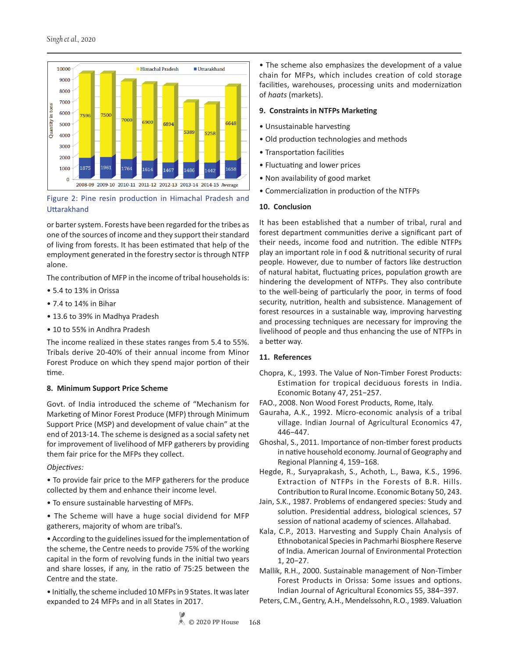

# Figure 2: Pine resin production in Himachal Pradesh and **Uttarakhand**

or barter system. Forests have been regarded for the tribes as one of the sources of income and they support their standard of living from forests. It has been estimated that help of the employment generated in the forestry sector is through NTFP alone.

The contribution of MFP in the income of tribal households is:

- 5.4 to 13% in Orissa
- 7.4 to 14% in Bihar
- 13.6 to 39% in Madhya Pradesh
- 10 to 55% in Andhra Pradesh

The income realized in these states ranges from 5.4 to 55%. Tribals derive 20-40% of their annual income from Minor Forest Produce on which they spend major portion of their time.

## **8. Minimum Support Price Scheme**

Govt. of India introduced the scheme of "Mechanism for Marketing of Minor Forest Produce (MFP) through Minimum Support Price (MSP) and development of value chain" at the end of 2013-14. The scheme is designed as a social safety net for improvement of livelihood of MFP gatherers by providing them fair price for the MFPs they collect.

*Objectives:*

• To provide fair price to the MFP gatherers for the produce collected by them and enhance their income level.

- To ensure sustainable harvesting of MFPs.
- The Scheme will have a huge social dividend for MFP gatherers, majority of whom are tribal's.

• According to the guidelines issued for the implementation of the scheme, the Centre needs to provide 75% of the working capital in the form of revolving funds in the initial two years and share losses, if any, in the ratio of 75:25 between the Centre and the state.

• Initially, the scheme included 10 MFPs in 9 States. It was later expanded to 24 MFPs and in all States in 2017.

• The scheme also emphasizes the development of a value chain for MFPs, which includes creation of cold storage facilities, warehouses, processing units and modernization of *haats* (markets).

## **9. Constraints in NTFPs Marketing**

- Unsustainable harvesting
- Old production technologies and methods
- Transportation facilities
- Fluctuating and lower prices
- Non availability of good market
- Commercialization in production of the NTFPs

## **10. Conclusion**

It has been established that a number of tribal, rural and forest department communities derive a significant part of their needs, income food and nutrition. The edible NTFPs play an important role in f ood & nutritional security of rural people. However, due to number of factors like destruction of natural habitat, fluctuating prices, population growth are hindering the development of NTFPs. They also contribute to the well-being of particularly the poor, in terms of food security, nutrition, health and subsistence. Management of forest resources in a sustainable way, improving harvesting and processing techniques are necessary for improving the livelihood of people and thus enhancing the use of NTFPs in a better way.

## **11. References**

- Chopra, K., 1993. The Value of Non-Timber Forest Products: Estimation for tropical deciduous forests in India. Economic Botany 47, 251−257.
- FAO., 2008. Non Wood Forest Products, Rome, Italy.
- Gauraha, A.K., 1992. Micro-economic analysis of a tribal village. Indian Journal of Agricultural Economics 47, 446−447.
- Ghoshal, S., 2011. Importance of non-timber forest products in native household economy. Journal of Geography and Regional Planning 4, 159−168.
- Hegde, R., Suryaprakash, S., Achoth, L., Bawa, K.S., 1996. Extraction of NTFPs in the Forests of B.R. Hills. Contribution to Rural Income. Economic Botany 50, 243.
- Jain, S.K., 1987. Problems of endangered species: Study and solution. Presidential address, biological sciences, 57 session of national academy of sciences. Allahabad.
- Kala, C.P., 2013. Harvesting and Supply Chain Analysis of Ethnobotanical Species in Pachmarhi Biosphere Reserve of India. American Journal of Environmental Protection 1, 20−27.
- Mallik, R.H., 2000. Sustainable management of Non-Timber Forest Products in Orissa: Some issues and options. Indian Journal of Agricultural Economics 55, 384−397.
- Peters, C.M., Gentry, A.H., Mendelssohn, R.O., 1989. Valuation